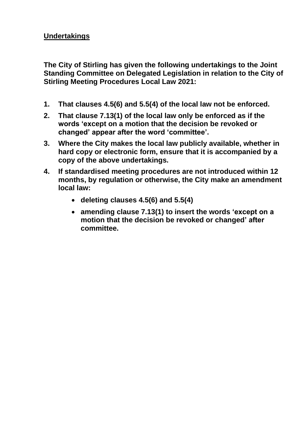## **Undertakings**

**The City of Stirling has given the following undertakings to the Joint Standing Committee on Delegated Legislation in relation to the City of Stirling Meeting Procedures Local Law 2021:**

- **1. That clauses 4.5(6) and 5.5(4) of the local law not be enforced.**
- **2. That clause 7.13(1) of the local law only be enforced as if the words 'except on a motion that the decision be revoked or changed' appear after the word 'committee'.**
- **3. Where the City makes the local law publicly available, whether in hard copy or electronic form, ensure that it is accompanied by a copy of the above undertakings.**
- **4. If standardised meeting procedures are not introduced within 12 months, by regulation or otherwise, the City make an amendment local law:**
	- **deleting clauses 4.5(6) and 5.5(4)**
	- **amending clause 7.13(1) to insert the words 'except on a motion that the decision be revoked or changed' after committee.**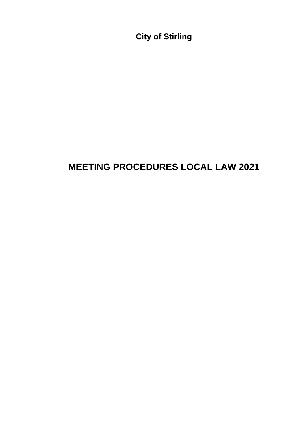# **MEETING PROCEDURES LOCAL LAW 2021**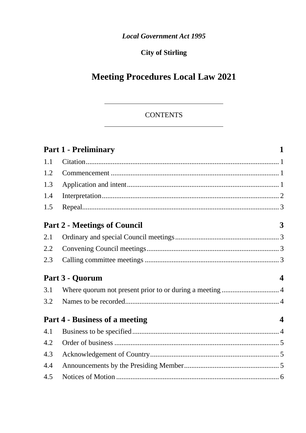**Local Government Act 1995** 

## **City of Stirling**

# **Meeting Procedures Local Law 2021**

## **CONTENTS**

|     | <b>Part 1 - Preliminary</b>         |                         |
|-----|-------------------------------------|-------------------------|
| 1.1 |                                     |                         |
| 1.2 |                                     |                         |
| 1.3 |                                     |                         |
| 1.4 |                                     |                         |
| 1.5 |                                     |                         |
|     | <b>Part 2 - Meetings of Council</b> | 3                       |
| 2.1 |                                     |                         |
| 2.2 |                                     |                         |
| 2.3 |                                     |                         |
|     |                                     |                         |
|     | Part 3 - Quorum                     | $\boldsymbol{\Delta}$   |
| 3.1 |                                     |                         |
| 3.2 |                                     |                         |
|     | Part 4 - Business of a meeting      | $\overline{\mathbf{4}}$ |
| 4.1 |                                     |                         |
| 4.2 |                                     |                         |
| 4.3 |                                     |                         |
| 4.4 |                                     |                         |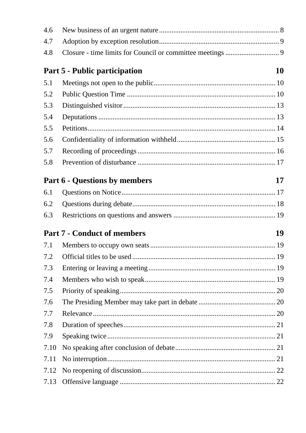| 4.6  |                                      |    |
|------|--------------------------------------|----|
| 4.7  |                                      |    |
| 4.8  |                                      |    |
|      | <b>Part 5 - Public participation</b> | 10 |
| 5.1  |                                      |    |
| 5.2  |                                      |    |
| 5.3  |                                      |    |
| 5.4  |                                      |    |
| 5.5  |                                      |    |
| 5.6  |                                      |    |
| 5.7  |                                      |    |
| 5.8  |                                      |    |
|      | <b>Part 6 - Questions by members</b> | 17 |
| 6.1  |                                      |    |
| 6.2  |                                      |    |
| 6.3  |                                      |    |
|      | <b>Part 7 - Conduct of members</b>   | 19 |
| 7.1  |                                      |    |
|      |                                      |    |
| 7.3  |                                      |    |
| 7.4  |                                      |    |
| 7.5  |                                      |    |
| 7.6  |                                      |    |
| 7.7  |                                      |    |
| 7.8  |                                      |    |
| 7.9  |                                      |    |
| 7.10 |                                      |    |
| 7.11 |                                      |    |
| 7.12 |                                      |    |
| 7.13 |                                      |    |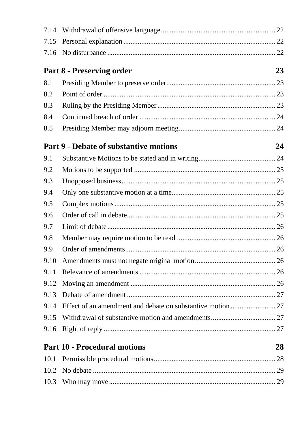| 7.14 |                                                     |
|------|-----------------------------------------------------|
| 7.15 |                                                     |
| 7.16 |                                                     |
|      | Part 8 - Preserving order<br>23                     |
| 8.1  |                                                     |
| 8.2  |                                                     |
| 8.3  |                                                     |
| 8.4  |                                                     |
| 8.5  |                                                     |
|      | <b>Part 9 - Debate of substantive motions</b><br>24 |
| 9.1  |                                                     |
| 9.2  |                                                     |
| 9.3  |                                                     |
| 9.4  |                                                     |
| 9.5  |                                                     |
| 9.6  |                                                     |
| 9.7  |                                                     |
| 9.8  |                                                     |
| 9.9  |                                                     |
| 9.10 |                                                     |
| 9.11 |                                                     |
| 9.12 |                                                     |
| 9.13 |                                                     |
| 9.14 |                                                     |
| 9.15 |                                                     |
| 9.16 |                                                     |
|      | <b>Part 10 - Procedural motions</b><br>28           |
| 10.1 |                                                     |
| 10.2 |                                                     |
| 10.3 |                                                     |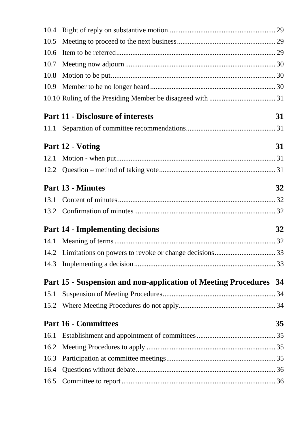| 10.4 |                                                                          |    |
|------|--------------------------------------------------------------------------|----|
| 10.5 |                                                                          |    |
| 10.6 |                                                                          |    |
| 10.7 |                                                                          |    |
| 10.8 |                                                                          |    |
| 10.9 |                                                                          |    |
|      |                                                                          |    |
|      | <b>Part 11 - Disclosure of interests</b>                                 | 31 |
| 11.1 |                                                                          |    |
|      | Part 12 - Voting                                                         | 31 |
| 12.1 |                                                                          |    |
|      |                                                                          |    |
|      | <b>Part 13 - Minutes</b>                                                 | 32 |
| 13.1 |                                                                          |    |
| 13.2 |                                                                          |    |
|      | <b>Part 14 - Implementing decisions</b>                                  | 32 |
| 14.1 |                                                                          |    |
|      |                                                                          |    |
| 14.3 |                                                                          |    |
|      | <b>Part 15 - Suspension and non-application of Meeting Procedures 34</b> |    |
| 15.1 |                                                                          |    |
| 15.2 |                                                                          |    |
|      | <b>Part 16 - Committees</b>                                              | 35 |
| 16.1 |                                                                          |    |
| 16.2 |                                                                          |    |
| 16.3 |                                                                          |    |
| 16.4 |                                                                          |    |
| 16.5 |                                                                          |    |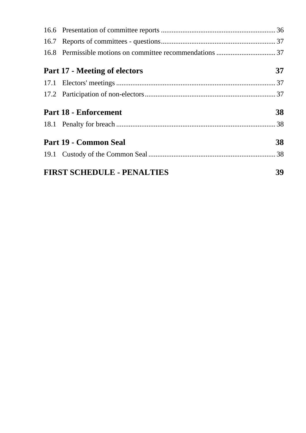| Part 17 - Meeting of electors | 37 |
|-------------------------------|----|
|                               |    |
|                               |    |
|                               |    |
| <b>Part 18 - Enforcement</b>  | 38 |
|                               |    |
| Part 19 - Common Seal         | 38 |
|                               |    |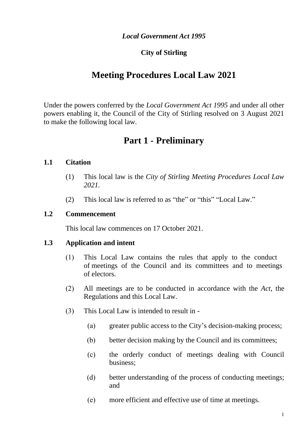#### *Local Government Act 1995*

## **City of Stirling**

## **Meeting Procedures Local Law 2021**

Under the powers conferred by the *Local Government Act 1995* and under all other powers enabling it, the Council of the City of Stirling resolved on 3 August 2021 to make the following local law.

## **Part 1 - Preliminary**

#### **1.1 Citation**

- (1) This local law is the *City of Stirling Meeting Procedures Local Law 2021.*
- (2) This local law is referred to as "the" or "this" "Local Law."

#### **1.2 Commencement**

This local law commences on 17 October 2021.

#### **1.3 Application and intent**

- (1) This Local Law contains the rules that apply to the conduct of meetings of the Council and its committees and to meetings of electors.
- (2) All meetings are to be conducted in accordance with the *Act*, the Regulations and this Local Law.
- (3) This Local Law is intended to result in
	- (a) greater public access to the City's decision-making process;
	- (b) better decision making by the Council and its committees;
	- (c) the orderly conduct of meetings dealing with Council business;
	- (d) better understanding of the process of conducting meetings; and
	- (e) more efficient and effective use of time at meetings.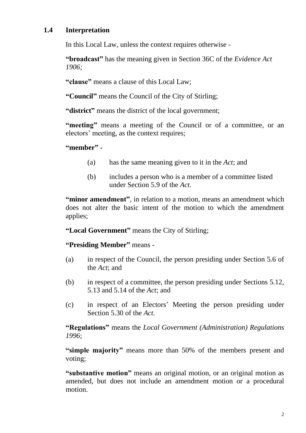## **1.4 Interpretation**

In this Local Law, unless the context requires otherwise -

**"broadcast"** has the meaning given in Section 36C of the *Evidence Act 1906;*

**"clause"** means a clause of this Local Law;

**"Council"** means the Council of the City of Stirling;

**"district"** means the district of the local government;

**"meeting"** means a meeting of the Council or of a committee, or an electors' meeting, as the context requires;

**"member" -**

- (a) has the same meaning given to it in the *Act*; and
- (b) includes a person who is a member of a committee listed under Section 5.9 of the *Act.*

**"minor amendment"**, in relation to a motion, means an amendment which does not alter the basic intent of the motion to which the amendment applies;

**"Local Government"** means the City of Stirling;

**"Presiding Member"** means -

- (a) in respect of the Council, the person presiding under Section 5.6 of the *Act*; and
- (b) in respect of a committee, the person presiding under Sections 5.12, 5.13 and 5.14 of the *Act*; and
- (c) in respect of an Electors' Meeting the person presiding under Section 5.30 of the *Act.*

**"Regulations"** means the *Local Government (Administration) Regulations 1996*;

**"simple majority"** means more than 50% of the members present and voting;

**"substantive motion"** means an original motion, or an original motion as amended, but does not include an amendment motion or a procedural motion.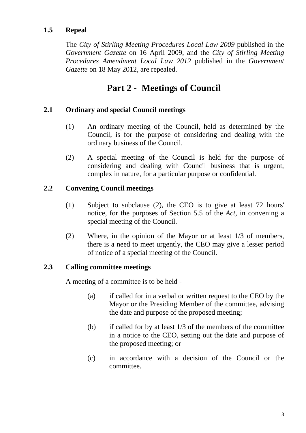#### **1.5 Repeal**

The *City of Stirling Meeting Procedures Local Law 2009* published in the *Government Gazette* on 16 April 2009, and the *City of Stirling Meeting Procedures Amendment Local Law 2012* published in the *Government Gazette* on 18 May 2012, are repealed.

## **Part 2 - Meetings of Council**

#### **2.1 Ordinary and special Council meetings**

- (1) An ordinary meeting of the Council, held as determined by the Council, is for the purpose of considering and dealing with the ordinary business of the Council.
- (2) A special meeting of the Council is held for the purpose of considering and dealing with Council business that is urgent, complex in nature, for a particular purpose or confidential.

#### **2.2 Convening Council meetings**

- (1) Subject to subclause (2), the CEO is to give at least 72 hours' notice, for the purposes of Section 5.5 of the *Act*, in convening a special meeting of the Council.
- (2) Where, in the opinion of the Mayor or at least 1/3 of members, there is a need to meet urgently, the CEO may give a lesser period of notice of a special meeting of the Council.

#### **2.3 Calling committee meetings**

A meeting of a committee is to be held -

- (a) if called for in a verbal or written request to the CEO by the Mayor or the Presiding Member of the committee, advising the date and purpose of the proposed meeting;
- (b) if called for by at least 1/3 of the members of the committee in a notice to the CEO, setting out the date and purpose of the proposed meeting; or
- (c) in accordance with a decision of the Council or the committee.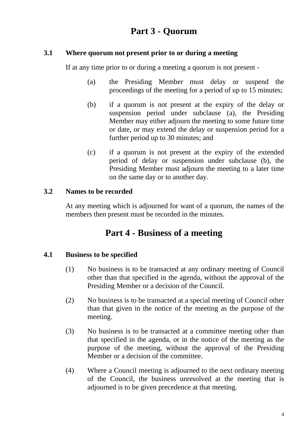# **Part 3 - Quorum**

#### **3.1 Where quorum not present prior to or during a meeting**

If at any time prior to or during a meeting a quorum is not present -

- (a) the Presiding Member must delay or suspend the proceedings of the meeting for a period of up to 15 minutes;
- (b) if a quorum is not present at the expiry of the delay or suspension period under subclause (a), the Presiding Member may either adjourn the meeting to some future time or date, or may extend the delay or suspension period for a further period up to 30 minutes; and
- (c) if a quorum is not present at the expiry of the extended period of delay or suspension under subclause (b), the Presiding Member must adjourn the meeting to a later time on the same day or to another day.

## **3.2 Names to be recorded**

At any meeting which is adjourned for want of a quorum, the names of the members then present must be recorded in the minutes.

# **Part 4 - Business of a meeting**

## **4.1 Business to be specified**

- (1) No business is to be transacted at any ordinary meeting of Council other than that specified in the agenda, without the approval of the Presiding Member or a decision of the Council.
- (2) No business is to be transacted at a special meeting of Council other than that given in the notice of the meeting as the purpose of the meeting.
- (3) No business is to be transacted at a committee meeting other than that specified in the agenda, or in the notice of the meeting as the purpose of the meeting, without the approval of the Presiding Member or a decision of the committee.
- <span id="page-10-0"></span>(4) Where a Council meeting is adjourned to the next ordinary meeting of the Council, the business unresolved at the meeting that is adjourned is to be given precedence at that meeting.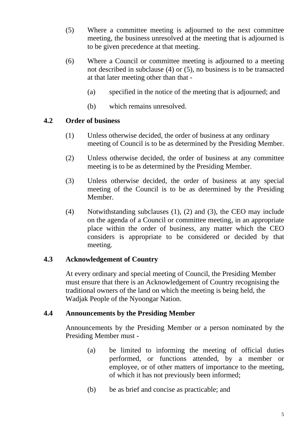- <span id="page-11-0"></span>(5) Where a committee meeting is adjourned to the next committee meeting, the business unresolved at the meeting that is adjourned is to be given precedence at that meeting.
- (6) Where a Council or committee meeting is adjourned to a meeting not described in subclause [\(4\)](#page-10-0) or [\(5\),](#page-11-0) no business is to be transacted at that later meeting other than that -
	- (a) specified in the notice of the meeting that is adjourned; and
	- (b) which remains unresolved.

## **4.2 Order of business**

- (1) Unless otherwise decided, the order of business at any ordinary meeting of Council is to be as determined by the Presiding Member.
- (2) Unless otherwise decided, the order of business at any committee meeting is to be as determined by the Presiding Member.
- (3) Unless otherwise decided, the order of business at any special meeting of the Council is to be as determined by the Presiding Member.
- (4) Notwithstanding subclauses (1), (2) and (3), the CEO may include on the agenda of a Council or committee meeting, in an appropriate place within the order of business, any matter which the CEO considers is appropriate to be considered or decided by that meeting.

## **4.3 Acknowledgement of Country**

At every ordinary and special meeting of Council, the Presiding Member must ensure that there is an Acknowledgement of Country recognising the traditional owners of the land on which the meeting is being held, the Wadjak People of the Nyoongar Nation.

## **4.4 Announcements by the Presiding Member**

Announcements by the Presiding Member or a person nominated by the Presiding Member must -

- (a) be limited to informing the meeting of official duties performed, or functions attended, by a member or employee, or of other matters of importance to the meeting, of which it has not previously been informed;
- (b) be as brief and concise as practicable; and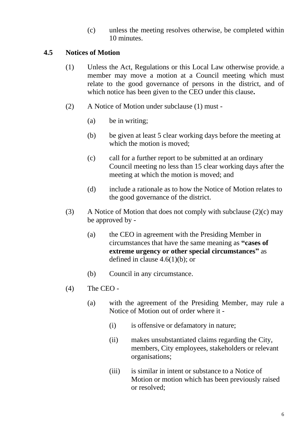(c) unless the meeting resolves otherwise, be completed within 10 minutes.

#### **4.5 Notices of Motion**

- (1) Unless the Act, Regulations or this Local Law otherwise provide, a member may move a motion at a Council meeting which must relate to the good governance of persons in the district, and of which notice has been given to the CEO under this clause**.**
- (2) A Notice of Motion under subclause (1) must
	- (a) be in writing;
	- (b) be given at least 5 clear working days before the meeting at which the motion is moved;
	- (c) call for a further report to be submitted at an ordinary Council meeting no less than 15 clear working days after the meeting at which the motion is moved; and
	- (d) include a rationale as to how the Notice of Motion relates to the good governance of the district.
- (3) A Notice of Motion that does not comply with subclause  $(2)(c)$  may be approved by -
	- (a) the CEO in agreement with the Presiding Member in circumstances that have the same meaning as **"cases of extreme urgency or other special circumstances"** as defined in clause 4.6(1)(b); or
	- (b) Council in any circumstance.
- (4) The CEO
	- (a) with the agreement of the Presiding Member, may rule a Notice of Motion out of order where it -
		- (i) is offensive or defamatory in nature;
		- (ii) makes unsubstantiated claims regarding the City, members, City employees, stakeholders or relevant organisations;
		- (iii) is similar in intent or substance to a Notice of Motion or motion which has been previously raised or resolved;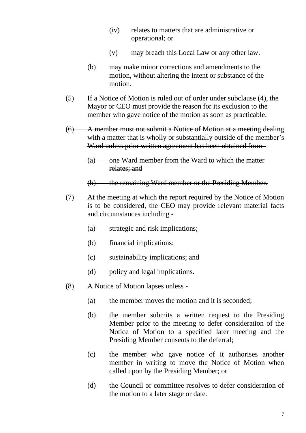- (iv) relates to matters that are administrative or operational; or
- (v) may breach this Local Law or any other law.
- (b) may make minor corrections and amendments to the motion, without altering the intent or substance of the motion.
- (5) If a Notice of Motion is ruled out of order under subclause (4), the Mayor or CEO must provide the reason for its exclusion to the member who gave notice of the motion as soon as practicable.
- (6) A member must not submit a Notice of Motion at a meeting dealing with a matter that is wholly or substantially outside of the member's Ward unless prior written agreement has been obtained from -
	- (a) one Ward member from the Ward to which the matter relates; and
	- (b) the remaining Ward member or the Presiding Member.
- (7) At the meeting at which the report required by the Notice of Motion is to be considered, the CEO may provide relevant material facts and circumstances including -
	- (a) strategic and risk implications;
	- (b) financial implications;
	- (c) sustainability implications; and
	- (d) policy and legal implications.
- (8) A Notice of Motion lapses unless
	- (a) the member moves the motion and it is seconded;
	- (b) the member submits a written request to the Presiding Member prior to the meeting to defer consideration of the Notice of Motion to a specified later meeting and the Presiding Member consents to the deferral;
	- (c) the member who gave notice of it authorises another member in writing to move the Notice of Motion when called upon by the Presiding Member; or
	- (d) the Council or committee resolves to defer consideration of the motion to a later stage or date.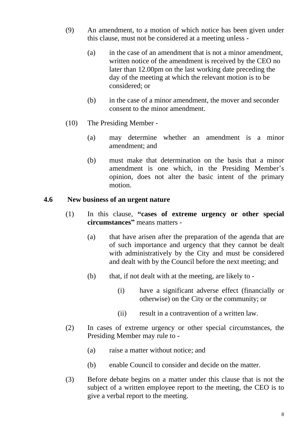- (9) An amendment, to a motion of which notice has been given under this clause, must not be considered at a meeting unless -
	- (a) in the case of an amendment that is not a minor amendment, written notice of the amendment is received by the CEO no later than 12.00pm on the last working date preceding the day of the meeting at which the relevant motion is to be considered; or
	- (b) in the case of a minor amendment, the mover and seconder consent to the minor amendment.
- (10) The Presiding Member
	- (a) may determine whether an amendment is a minor amendment; and
	- (b) must make that determination on the basis that a minor amendment is one which, in the Presiding Member's opinion, does not alter the basic intent of the primary motion.

#### **4.6 New business of an urgent nature**

- (1) In this clause, **"cases of extreme urgency or other special circumstances"** means matters -
	- (a) that have arisen after the preparation of the agenda that are of such importance and urgency that they cannot be dealt with administratively by the City and must be considered and dealt with by the Council before the next meeting; and
	- (b) that, if not dealt with at the meeting, are likely to
		- (i) have a significant adverse effect (financially or otherwise) on the City or the community; or
		- (ii) result in a contravention of a written law.
- (2) In cases of extreme urgency or other special circumstances, the Presiding Member may rule to -
	- (a) raise a matter without notice; and
	- (b) enable Council to consider and decide on the matter.
- (3) Before debate begins on a matter under this clause that is not the subject of a written employee report to the meeting, the CEO is to give a verbal report to the meeting.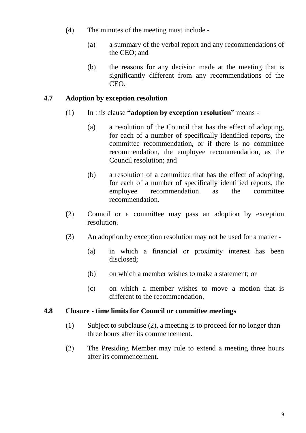- (4) The minutes of the meeting must include
	- (a) a summary of the verbal report and any recommendations of the CEO; and
	- (b) the reasons for any decision made at the meeting that is significantly different from any recommendations of the CEO.

#### <span id="page-15-0"></span>**4.7 Adoption by exception resolution**

- (1) In this clause **"adoption by exception resolution"** means
	- (a) a resolution of the Council that has the effect of adopting, for each of a number of specifically identified reports, the committee recommendation, or if there is no committee recommendation, the employee recommendation, as the Council resolution; and
	- (b) a resolution of a committee that has the effect of adopting, for each of a number of specifically identified reports, the employee recommendation as the committee recommendation.
- (2) Council or a committee may pass an adoption by exception resolution.
- (3) An adoption by exception resolution may not be used for a matter
	- (a) in which a financial or proximity interest has been disclosed;
	- (b) on which a member wishes to make a statement; or
	- (c) on which a member wishes to move a motion that is different to the recommendation.

#### **4.8 Closure - time limits for Council or committee meetings**

- (1) Subject to subclause (2), a meeting is to proceed for no longer than three hours after its commencement.
- (2) The Presiding Member may rule to extend a meeting three hours after its commencement.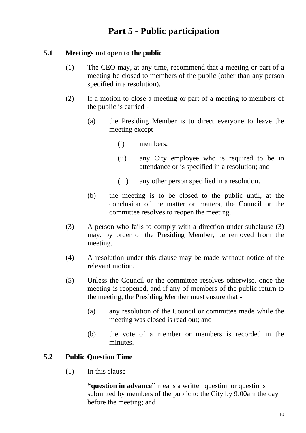# **Part 5 - Public participation**

#### <span id="page-16-0"></span>**5.1 Meetings not open to the public**

- (1) The CEO may, at any time, recommend that a meeting or part of a meeting be closed to members of the public (other than any person specified in a resolution).
- (2) If a motion to close a meeting or part of a meeting to members of the public is carried -
	- (a) the Presiding Member is to direct everyone to leave the meeting except -
		- (i) members;
		- (ii) any City employee who is required to be in attendance or is specified in a resolution; and
		- (iii) any other person specified in a resolution.
	- (b) the meeting is to be closed to the public until, at the conclusion of the matter or matters, the Council or the committee resolves to reopen the meeting.
- (3) A person who fails to comply with a direction under subclause (3) may, by order of the Presiding Member, be removed from the meeting.
- (4) A resolution under this clause may be made without notice of the relevant motion.
- (5) Unless the Council or the committee resolves otherwise, once the meeting is reopened, and if any of members of the public return to the meeting, the Presiding Member must ensure that -
	- (a) any resolution of the Council or committee made while the meeting was closed is read out; and
	- (b) the vote of a member or members is recorded in the minutes.

## **5.2 Public Question Time**

(1) In this clause -

**"question in advance"** means a written question or questions submitted by members of the public to the City by 9:00am the day before the meeting; and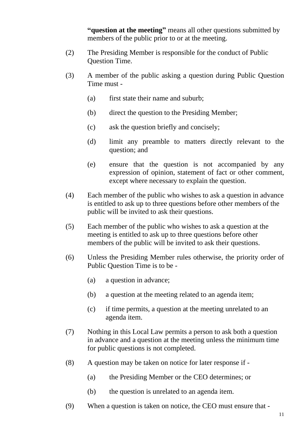**"question at the meeting"** means all other questions submitted by members of the public prior to or at the meeting.

- (2) The Presiding Member is responsible for the conduct of Public Question Time.
- (3) A member of the public asking a question during Public Question Time must -
	- (a) first state their name and suburb;
	- (b) direct the question to the Presiding Member;
	- (c) ask the question briefly and concisely;
	- (d) limit any preamble to matters directly relevant to the question; and
	- (e) ensure that the question is not accompanied by any expression of opinion, statement of fact or other comment, except where necessary to explain the question.
- (4) Each member of the public who wishes to ask a question in advance is entitled to ask up to three questions before other members of the public will be invited to ask their questions.
- (5) Each member of the public who wishes to ask a question at the meeting is entitled to ask up to three questions before other members of the public will be invited to ask their questions.
- (6) Unless the Presiding Member rules otherwise, the priority order of Public Question Time is to be -
	- (a) a question in advance;
	- (b) a question at the meeting related to an agenda item;
	- (c) if time permits, a question at the meeting unrelated to an agenda item.
- (7) Nothing in this Local Law permits a person to ask both a question in advance and a question at the meeting unless the minimum time for public questions is not completed.
- (8) A question may be taken on notice for later response if
	- (a) the Presiding Member or the CEO determines; or
	- (b) the question is unrelated to an agenda item.
- (9) When a question is taken on notice, the CEO must ensure that -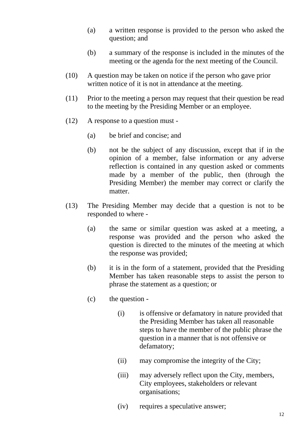- (a) a written response is provided to the person who asked the question; and
- (b) a summary of the response is included in the minutes of the meeting or the agenda for the next meeting of the Council.
- (10) A question may be taken on notice if the person who gave prior written notice of it is not in attendance at the meeting.
- (11) Prior to the meeting a person may request that their question be read to the meeting by the Presiding Member or an employee.
- (12) A response to a question must
	- (a) be brief and concise; and
	- (b) not be the subject of any discussion, except that if in the opinion of a member, false information or any adverse reflection is contained in any question asked or comments made by a member of the public, then (through the Presiding Member) the member may correct or clarify the matter.
- (13) The Presiding Member may decide that a question is not to be responded to where -
	- (a) the same or similar question was asked at a meeting, a response was provided and the person who asked the question is directed to the minutes of the meeting at which the response was provided;
	- (b) it is in the form of a statement, provided that the Presiding Member has taken reasonable steps to assist the person to phrase the statement as a question; or
	- (c) the question
		- (i) is offensive or defamatory in nature provided that the Presiding Member has taken all reasonable steps to have the member of the public phrase the question in a manner that is not offensive or defamatory;
		- (ii) may compromise the integrity of the City;
		- (iii) may adversely reflect upon the City, members, City employees, stakeholders or relevant organisations;
		- (iv) requires a speculative answer;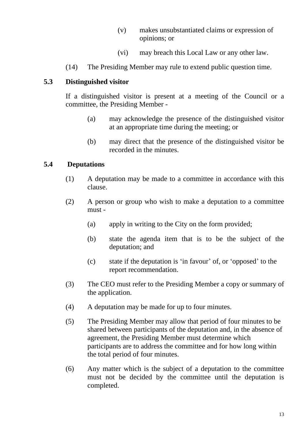- (v) makes unsubstantiated claims or expression of opinions; or
- (vi) may breach this Local Law or any other law.
- (14) The Presiding Member may rule to extend public question time.

#### **5.3 Distinguished visitor**

If a distinguished visitor is present at a meeting of the Council or a committee, the Presiding Member -

- (a) may acknowledge the presence of the distinguished visitor at an appropriate time during the meeting; or
- (b) may direct that the presence of the distinguished visitor be recorded in the minutes.

#### **5.4 Deputations**

- (1) A deputation may be made to a committee in accordance with this clause.
- (2) A person or group who wish to make a deputation to a committee must -
	- (a) apply in writing to the City on the form provided;
	- (b) state the agenda item that is to be the subject of the deputation; and
	- (c) state if the deputation is 'in favour' of, or 'opposed' to the report recommendation.
- (3) The CEO must refer to the Presiding Member a copy or summary of the application.
- (4) A deputation may be made for up to four minutes.
- (5) The Presiding Member may allow that period of four minutes to be shared between participants of the deputation and, in the absence of agreement, the Presiding Member must determine which participants are to address the committee and for how long within the total period of four minutes.
- (6) Any matter which is the subject of a deputation to the committee must not be decided by the committee until the deputation is completed.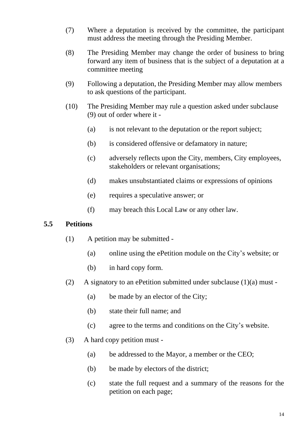- (7) Where a deputation is received by the committee, the participant must address the meeting through the Presiding Member.
- (8) The Presiding Member may change the order of business to bring forward any item of business that is the subject of a deputation at a committee meeting
- (9) Following a deputation, the Presiding Member may allow members to ask questions of the participant.
- (10) The Presiding Member may rule a question asked under subclause (9) out of order where it -
	- (a) is not relevant to the deputation or the report subject;
	- (b) is considered offensive or defamatory in nature;
	- (c) adversely reflects upon the City, members, City employees, stakeholders or relevant organisations;
	- (d) makes unsubstantiated claims or expressions of opinions
	- (e) requires a speculative answer; or
	- (f) may breach this Local Law or any other law.

#### **5.5 Petitions**

- (1) A petition may be submitted
	- (a) online using the ePetition module on the City's website; or
	- (b) in hard copy form.
- (2) A signatory to an ePetition submitted under subclause  $(1)(a)$  must -
	- (a) be made by an elector of the City;
	- (b) state their full name; and
	- (c) agree to the terms and conditions on the City's website.
- (3) A hard copy petition must
	- (a) be addressed to the Mayor, a member or the CEO;
	- (b) be made by electors of the district;
	- (c) state the full request and a summary of the reasons for the petition on each page;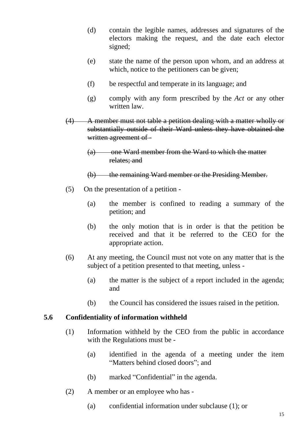- (d) contain the legible names, addresses and signatures of the electors making the request, and the date each elector signed;
- (e) state the name of the person upon whom, and an address at which, notice to the petitioners can be given;
- (f) be respectful and temperate in its language; and
- (g) comply with any form prescribed by the *Act* or any other written law.
- (4) A member must not table a petition dealing with a matter wholly or substantially outside of their Ward unless they have obtained the written agreement of -
	- (a) one Ward member from the Ward to which the matter relates; and
	- (b) the remaining Ward member or the Presiding Member.
- (5) On the presentation of a petition
	- (a) the member is confined to reading a summary of the petition; and
	- (b) the only motion that is in order is that the petition be received and that it be referred to the CEO for the appropriate action.
- (6) At any meeting, the Council must not vote on any matter that is the subject of a petition presented to that meeting, unless -
	- (a) the matter is the subject of a report included in the agenda; and
	- (b) the Council has considered the issues raised in the petition.

#### <span id="page-21-0"></span>**5.6 Confidentiality of information withheld**

- (1) Information withheld by the CEO from the public in accordance with the Regulations must be -
	- (a) identified in the agenda of a meeting under the item "Matters behind closed doors"; and
	- (b) marked "Confidential" in the agenda.
- <span id="page-21-1"></span>(2) A member or an employee who has -
	- (a) confidential information under subclause [\(1\);](#page-21-0) or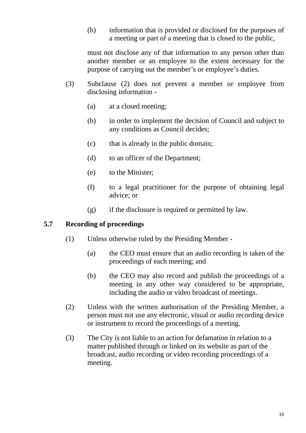(b) information that is provided or disclosed for the purposes of a meeting or part of a meeting that is closed to the public,

must not disclose any of that information to any person other than another member or an employee to the extent necessary for the purpose of carrying out the member's or employee's duties.

- (3) Subclause [\(2\)](#page-21-1) does not prevent a member or employee from disclosing information -
	- (a) at a closed meeting;
	- (b) in order to implement the decision of Council and subject to any conditions as Council decides;
	- (c) that is already in the public domain;
	- (d) to an officer of the Department;
	- (e) to the Minister;
	- (f) to a legal practitioner for the purpose of obtaining legal advice; or
	- (g) if the disclosure is required or permitted by law.

## **5.7 Recording of proceedings**

- (1) Unless otherwise ruled by the Presiding Member
	- (a) the CEO must ensure that an audio recording is taken of the proceedings of each meeting; and
	- (b) the CEO may also record and publish the proceedings of a meeting in any other way considered to be appropriate, including the audio or video broadcast of meetings.
- (2) Unless with the written authorisation of the Presiding Member, a person must not use any electronic, visual or audio recording device or instrument to record the proceedings of a meeting.
- (3) The City is not liable to an action for defamation in relation to a matter published through or linked on its website as part of the broadcast, audio recording or video recording proceedings of a meeting.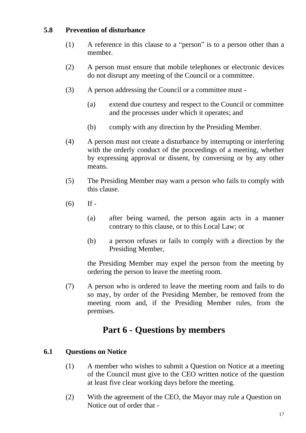#### **5.8 Prevention of disturbance**

- (1) A reference in this clause to a "person" is to a person other than a member.
- (2) A person must ensure that mobile telephones or electronic devices do not disrupt any meeting of the Council or a committee.
- (3) A person addressing the Council or a committee must
	- (a) extend due courtesy and respect to the Council or committee and the processes under which it operates; and
	- (b) comply with any direction by the Presiding Member.
- (4) A person must not create a disturbance by interrupting or interfering with the orderly conduct of the proceedings of a meeting, whether by expressing approval or dissent, by conversing or by any other means.
- (5) The Presiding Member may warn a person who fails to comply with this clause.
- $(6)$  If -
	- (a) after being warned, the person again acts in a manner contrary to this clause, or to this Local Law; or
	- (b) a person refuses or fails to comply with a direction by the Presiding Member,

the Presiding Member may expel the person from the meeting by ordering the person to leave the meeting room.

(7) A person who is ordered to leave the meeting room and fails to do so may, by order of the Presiding Member, be removed from the meeting room and, if the Presiding Member rules, from the premises.

# **Part 6 - Questions by members**

#### **6.1 Questions on Notice**

- (1) A member who wishes to submit a Question on Notice at a meeting of the Council must give to the CEO written notice of the question at least five clear working days before the meeting.
- (2) With the agreement of the CEO, the Mayor may rule a Question on Notice out of order that -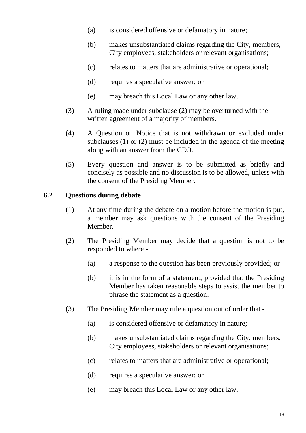- (a) is considered offensive or defamatory in nature;
- (b) makes unsubstantiated claims regarding the City, members, City employees, stakeholders or relevant organisations;
- (c) relates to matters that are administrative or operational;
- (d) requires a speculative answer; or
- (e) may breach this Local Law or any other law.
- (3) A ruling made under subclause (2) may be overturned with the written agreement of a majority of members.
- (4) A Question on Notice that is not withdrawn or excluded under subclauses (1) or (2) must be included in the agenda of the meeting along with an answer from the CEO.
- (5) Every question and answer is to be submitted as briefly and concisely as possible and no discussion is to be allowed, unless with the consent of the Presiding Member*.*

#### **6.2 Questions during debate**

- (1) At any time during the debate on a motion before the motion is put, a member may ask questions with the consent of the Presiding Member.
- (2) The Presiding Member may decide that a question is not to be responded to where -
	- (a) a response to the question has been previously provided; or
	- (b) it is in the form of a statement, provided that the Presiding Member has taken reasonable steps to assist the member to phrase the statement as a question.
- (3) The Presiding Member may rule a question out of order that
	- (a) is considered offensive or defamatory in nature;
	- (b) makes unsubstantiated claims regarding the City, members, City employees, stakeholders or relevant organisations;
	- (c) relates to matters that are administrative or operational;
	- (d) requires a speculative answer; or
	- (e) may breach this Local Law or any other law.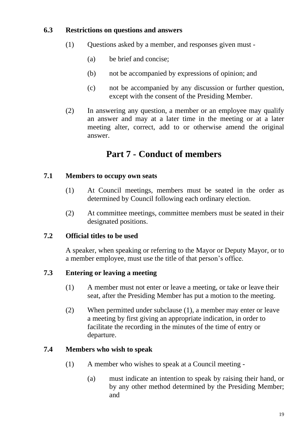#### **6.3 Restrictions on questions and answers**

- (1) Questions asked by a member, and responses given must
	- (a) be brief and concise;
	- (b) not be accompanied by expressions of opinion; and
	- (c) not be accompanied by any discussion or further question, except with the consent of the Presiding Member.
- (2) In answering any question, a member or an employee may qualify an answer and may at a later time in the meeting or at a later meeting alter, correct, add to or otherwise amend the original answer.

# **Part 7 - Conduct of members**

#### **7.1 Members to occupy own seats**

- (1) At Council meetings, members must be seated in the order as determined by Council following each ordinary election.
- (2) At committee meetings, committee members must be seated in their designated positions.

## **7.2 Official titles to be used**

A speaker, when speaking or referring to the Mayor or Deputy Mayor, or to a member employee, must use the title of that person's office.

## **7.3 Entering or leaving a meeting**

- (1) A member must not enter or leave a meeting, or take or leave their seat, after the Presiding Member has put a motion to the meeting.
- (2) When permitted under subclause (1), a member may enter or leave a meeting by first giving an appropriate indication, in order to facilitate the recording in the minutes of the time of entry or departure.

## <span id="page-25-0"></span>**7.4 Members who wish to speak**

- (1) A member who wishes to speak at a Council meeting
	- (a) must indicate an intention to speak by raising their hand, or by any other method determined by the Presiding Member; and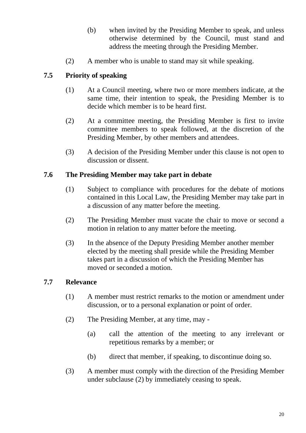- (b) when invited by the Presiding Member to speak, and unless otherwise determined by the Council, must stand and address the meeting through the Presiding Member.
- (2) A member who is unable to stand may sit while speaking.

## **7.5 Priority of speaking**

- (1) At a Council meeting, where two or more members indicate, at the same time, their intention to speak, the Presiding Member is to decide which member is to be heard first.
- (2) At a committee meeting, the Presiding Member is first to invite committee members to speak followed, at the discretion of the Presiding Member, by other members and attendees.
- (3) A decision of the Presiding Member under this clause is not open to discussion or dissent.

## <span id="page-26-1"></span>**7.6 The Presiding Member may take part in debate**

- (1) Subject to compliance with procedures for the debate of motions contained in this Local Law, the Presiding Member may take part in a discussion of any matter before the meeting.
- (2) The Presiding Member must vacate the chair to move or second a motion in relation to any matter before the meeting.
- (3) In the absence of the Deputy Presiding Member another member elected by the meeting shall preside while the Presiding Member takes part in a discussion of which the Presiding Member has moved or seconded a motion.

## **7.7 Relevance**

- (1) A member must restrict remarks to the motion or amendment under discussion, or to a personal explanation or point of order.
- <span id="page-26-0"></span>(2) The Presiding Member, at any time, may -
	- (a) call the attention of the meeting to any irrelevant or repetitious remarks by a member; or
	- (b) direct that member, if speaking, to discontinue doing so.
- (3) A member must comply with the direction of the Presiding Member under subclause [\(2\)](#page-26-0) by immediately ceasing to speak.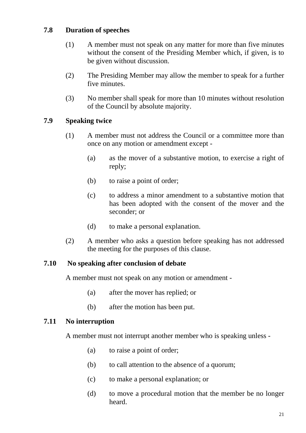#### **7.8 Duration of speeches**

- (1) A member must not speak on any matter for more than five minutes without the consent of the Presiding Member which, if given, is to be given without discussion.
- (2) The Presiding Member may allow the member to speak for a further five minutes.
- (3) No member shall speak for more than 10 minutes without resolution of the Council by absolute majority.

## **7.9 Speaking twice**

- (1) A member must not address the Council or a committee more than once on any motion or amendment except -
	- (a) as the mover of a substantive motion, to exercise a right of reply;
	- (b) to raise a point of order;
	- (c) to address a minor amendment to a substantive motion that has been adopted with the consent of the mover and the seconder; or
	- (d) to make a personal explanation.
- (2) A member who asks a question before speaking has not addressed the meeting for the purposes of this clause.

#### **7.10 No speaking after conclusion of debate**

A member must not speak on any motion or amendment -

- (a) after the mover has replied; or
- (b) after the motion has been put.

#### **7.11 No interruption**

A member must not interrupt another member who is speaking unless -

- (a) to raise a point of order;
- (b) to call attention to the absence of a quorum;
- (c) to make a personal explanation; or
- (d) to move a procedural motion that the member be no longer heard.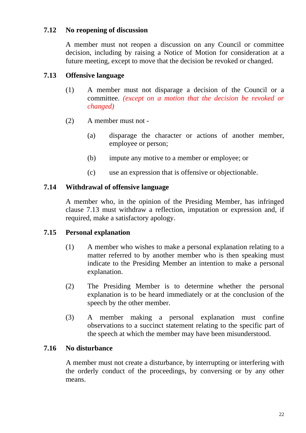#### **7.12 No reopening of discussion**

A member must not reopen a discussion on any Council or committee decision, including by raising a Notice of Motion for consideration at a future meeting, except to move that the decision be revoked or changed.

## **7.13 Offensive language**

- (1) A member must not disparage a decision of the Council or a committee. *(except on a motion that the decision be revoked or changed)*
- (2) A member must not
	- (a) disparage the character or actions of another member, employee or person;
	- (b) impute any motive to a member or employee; or
	- (c) use an expression that is offensive or objectionable.

## **7.14 Withdrawal of offensive language**

A member who, in the opinion of the Presiding Member, has infringed clause 7.13 must withdraw a reflection, imputation or expression and, if required, make a satisfactory apology.

## **7.15 Personal explanation**

- (1) A member who wishes to make a personal explanation relating to a matter referred to by another member who is then speaking must indicate to the Presiding Member an intention to make a personal explanation.
- (2) The Presiding Member is to determine whether the personal explanation is to be heard immediately or at the conclusion of the speech by the other member.
- (3) A member making a personal explanation must confine observations to a succinct statement relating to the specific part of the speech at which the member may have been misunderstood.

## **7.16 No disturbance**

A member must not create a disturbance, by interrupting or interfering with the orderly conduct of the proceedings, by conversing or by any other means.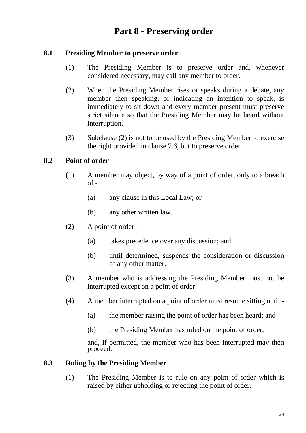# **Part 8 - Preserving order**

#### **8.1 Presiding Member to preserve order**

- (1) The Presiding Member is to preserve order and, whenever considered necessary, may call any member to order.
- <span id="page-29-0"></span>(2) When the Presiding Member rises or speaks during a debate, any member then speaking, or indicating an intention to speak, is immediately to sit down and every member present must preserve strict silence so that the Presiding Member may be heard without interruption.
- (3) Subclause [\(2\)](#page-29-0) is not to be used by the Presiding Member to exercise the right provided in clause [7.6,](#page-26-1) but to preserve order.

#### **8.2 Point of order**

- (1) A member may object, by way of a point of order, only to a breach  $of -$ 
	- (a) any clause in this Local Law; or
	- (b) any other written law.
- (2) A point of order
	- (a) takes precedence over any discussion; and
	- (b) until determined, suspends the consideration or discussion of any other matter.
- (3) A member who is addressing the Presiding Member must not be interrupted except on a point of order.
- (4) A member interrupted on a point of order must resume sitting until
	- (a) the member raising the point of order has been heard; and
	- (b) the Presiding Member has ruled on the point of order,

and, if permitted, the member who has been interrupted may then proceed.

#### **8.3 Ruling by the Presiding Member**

(1) The Presiding Member is to rule on any point of order which is raised by either upholding or rejecting the point of order.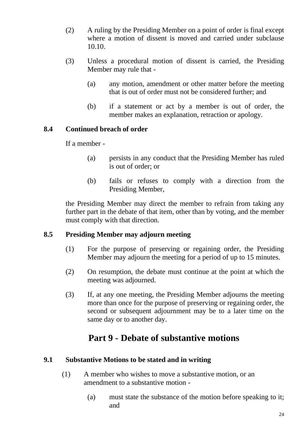- (2) A ruling by the Presiding Member on a point of order is final except where a motion of dissent is moved and carried under subclause 10.10.
- (3) Unless a procedural motion of dissent is carried, the Presiding Member may rule that -
	- (a) any motion, amendment or other matter before the meeting that is out of order must not be considered further; and
	- (b) if a statement or act by a member is out of order, the member makes an explanation, retraction or apology.

#### **8.4 Continued breach of order**

If a member -

- (a) persists in any conduct that the Presiding Member has ruled is out of order; or
- (b) fails or refuses to comply with a direction from the Presiding Member,

the Presiding Member may direct the member to refrain from taking any further part in the debate of that item, other than by voting, and the member must comply with that direction.

## **8.5 Presiding Member may adjourn meeting**

- (1) For the purpose of preserving or regaining order, the Presiding Member may adjourn the meeting for a period of up to 15 minutes.
- (2) On resumption, the debate must continue at the point at which the meeting was adjourned.
- (3) If, at any one meeting, the Presiding Member adjourns the meeting more than once for the purpose of preserving or regaining order, the second or subsequent adjournment may be to a later time on the same day or to another day.

# **Part 9 - Debate of substantive motions**

#### **9.1 Substantive Motions to be stated and in writing**

- (1) A member who wishes to move a substantive motion, or an amendment to a substantive motion -
	- (a) must state the substance of the motion before speaking to it; and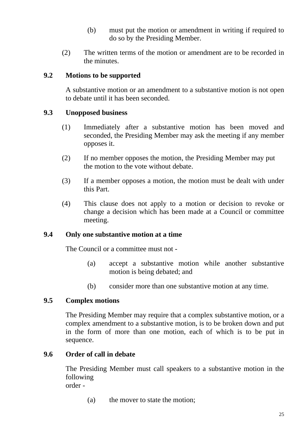- (b) must put the motion or amendment in writing if required to do so by the Presiding Member.
- (2) The written terms of the motion or amendment are to be recorded in the minutes.

#### **9.2 Motions to be supported**

A substantive motion or an amendment to a substantive motion is not open to debate until it has been seconded.

#### **9.3 Unopposed business**

- (1) Immediately after a substantive motion has been moved and seconded, the Presiding Member may ask the meeting if any member opposes it.
- (2) If no member opposes the motion, the Presiding Member may put the motion to the vote without debate.
- (3) If a member opposes a motion, the motion must be dealt with under this Part.
- (4) This clause does not apply to a motion or decision to revoke or change a decision which has been made at a Council or committee meeting.

#### **9.4 Only one substantive motion at a time**

The Council or a committee must not -

- (a) accept a substantive motion while another substantive motion is being debated; and
- (b) consider more than one substantive motion at any time.

#### **9.5 Complex motions**

The Presiding Member may require that a complex substantive motion, or a complex amendment to a substantive motion, is to be broken down and put in the form of more than one motion, each of which is to be put in sequence.

#### **9.6 Order of call in debate**

The Presiding Member must call speakers to a substantive motion in the following order -

(a) the mover to state the motion;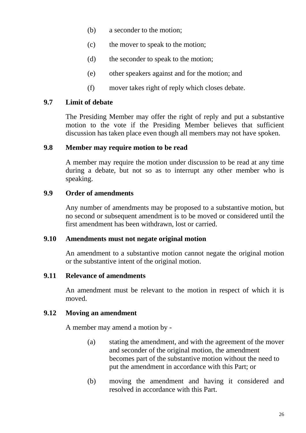- (b) a seconder to the motion;
- (c) the mover to speak to the motion;
- (d) the seconder to speak to the motion;
- (e) other speakers against and for the motion; and
- (f) mover takes right of reply which closes debate.

#### **9.7 Limit of debate**

The Presiding Member may offer the right of reply and put a substantive motion to the vote if the Presiding Member believes that sufficient discussion has taken place even though all members may not have spoken.

#### **9.8 Member may require motion to be read**

A member may require the motion under discussion to be read at any time during a debate, but not so as to interrupt any other member who is speaking.

#### **9.9 Order of amendments**

Any number of amendments may be proposed to a substantive motion, but no second or subsequent amendment is to be moved or considered until the first amendment has been withdrawn, lost or carried.

#### **9.10 Amendments must not negate original motion**

An amendment to a substantive motion cannot negate the original motion or the substantive intent of the original motion.

## **9.11 Relevance of amendments**

An amendment must be relevant to the motion in respect of which it is moved.

## **9.12 Moving an amendment**

A member may amend a motion by -

- (a) stating the amendment, and with the agreement of the mover and seconder of the original motion, the amendment becomes part of the substantive motion without the need to put the amendment in accordance with this Part; or
- (b) moving the amendment and having it considered and resolved in accordance with this Part.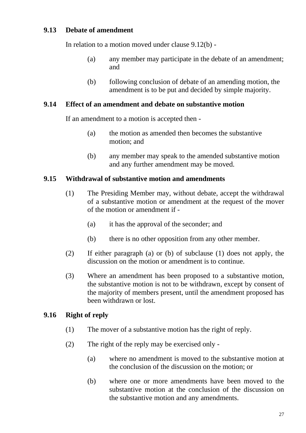#### **9.13 Debate of amendment**

In relation to a motion moved under clause 9.12(b) -

- (a) any member may participate in the debate of an amendment; and
- (b) following conclusion of debate of an amending motion, the amendment is to be put and decided by simple majority.

#### **9.14 Effect of an amendment and debate on substantive motion**

If an amendment to a motion is accepted then -

- (a) the motion as amended then becomes the substantive motion; and
- (b) any member may speak to the amended substantive motion and any further amendment may be moved.

#### **9.15 Withdrawal of substantive motion and amendments**

- (1) The Presiding Member may, without debate, accept the withdrawal of a substantive motion or amendment at the request of the mover of the motion or amendment if -
	- (a) it has the approval of the seconder; and
	- (b) there is no other opposition from any other member.
- (2) If either paragraph (a) or (b) of subclause (1) does not apply, the discussion on the motion or amendment is to continue.
- (3) Where an amendment has been proposed to a substantive motion, the substantive motion is not to be withdrawn, except by consent of the majority of members present, until the amendment proposed has been withdrawn or lost.

#### **9.16 Right of reply**

- (1) The mover of a substantive motion has the right of reply.
- (2) The right of the reply may be exercised only
	- (a) where no amendment is moved to the substantive motion at the conclusion of the discussion on the motion; or
	- (b) where one or more amendments have been moved to the substantive motion at the conclusion of the discussion on the substantive motion and any amendments.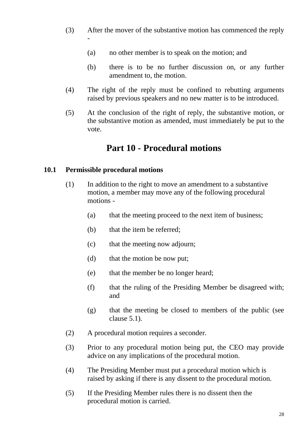- (3) After the mover of the substantive motion has commenced the reply -
	- (a) no other member is to speak on the motion; and
	- (b) there is to be no further discussion on, or any further amendment to, the motion.
- (4) The right of the reply must be confined to rebutting arguments raised by previous speakers and no new matter is to be introduced.
- (5) At the conclusion of the right of reply, the substantive motion, or the substantive motion as amended, must immediately be put to the vote.

# **Part 10 - Procedural motions**

#### <span id="page-34-0"></span>**10.1 Permissible procedural motions**

- (1) In addition to the right to move an amendment to a substantive motion, a member may move any of the following procedural motions -
	- (a) that the meeting proceed to the next item of business;
	- (b) that the item be referred;
	- (c) that the meeting now adjourn;
	- (d) that the motion be now put;
	- (e) that the member be no longer heard;
	- (f) that the ruling of the Presiding Member be disagreed with; and
	- (g) that the meeting be closed to members of the public (see clause [5.1\)](#page-16-0).
- (2) A procedural motion requires a seconder.
- (3) Prior to any procedural motion being put, the CEO may provide advice on any implications of the procedural motion.
- (4) The Presiding Member must put a procedural motion which is raised by asking if there is any dissent to the procedural motion.
- (5) If the Presiding Member rules there is no dissent then the procedural motion is carried.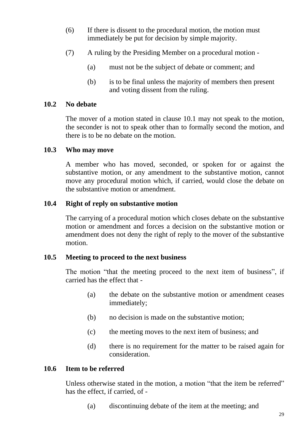- (6) If there is dissent to the procedural motion, the motion must immediately be put for decision by simple majority.
- (7) A ruling by the Presiding Member on a procedural motion
	- (a) must not be the subject of debate or comment; and
	- (b) is to be final unless the majority of members then present and voting dissent from the ruling.

#### **10.2 No debate**

The mover of a motion stated in clause [10.1](#page-34-0) may not speak to the motion, the seconder is not to speak other than to formally second the motion, and there is to be no debate on the motion.

#### **10.3 Who may move**

A member who has moved, seconded, or spoken for or against the substantive motion, or any amendment to the substantive motion, cannot move any procedural motion which, if carried, would close the debate on the substantive motion or amendment.

#### **10.4 Right of reply on substantive motion**

The carrying of a procedural motion which closes debate on the substantive motion or amendment and forces a decision on the substantive motion or amendment does not deny the right of reply to the mover of the substantive motion.

## **10.5 Meeting to proceed to the next business**

The motion "that the meeting proceed to the next item of business", if carried has the effect that -

- (a) the debate on the substantive motion or amendment ceases immediately;
- (b) no decision is made on the substantive motion;
- (c) the meeting moves to the next item of business; and
- (d) there is no requirement for the matter to be raised again for consideration.

## **10.6 Item to be referred**

Unless otherwise stated in the motion, a motion "that the item be referred" has the effect, if carried, of -

(a) discontinuing debate of the item at the meeting; and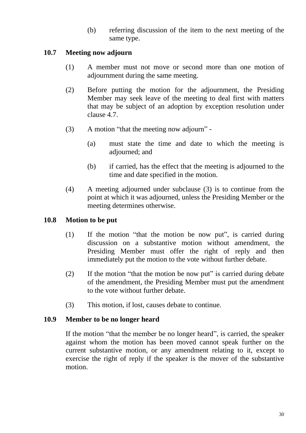(b) referring discussion of the item to the next meeting of the same type.

#### **10.7 Meeting now adjourn**

- (1) A member must not move or second more than one motion of adiournment during the same meeting.
- (2) Before putting the motion for the adjournment, the Presiding Member may seek leave of the meeting to deal first with matters that may be subject of an adoption by exception resolution under clause [4.7.](#page-15-0)
- (3) A motion "that the meeting now adjourn"
	- (a) must state the time and date to which the meeting is adjourned; and
	- (b) if carried, has the effect that the meeting is adjourned to the time and date specified in the motion.
- (4) A meeting adjourned under subclause (3) is to continue from the point at which it was adjourned, unless the Presiding Member or the meeting determines otherwise.

#### **10.8 Motion to be put**

- (1) If the motion "that the motion be now put", is carried during discussion on a substantive motion without amendment, the Presiding Member must offer the right of reply and then immediately put the motion to the vote without further debate.
- (2) If the motion "that the motion be now put" is carried during debate of the amendment, the Presiding Member must put the amendment to the vote without further debate.
- (3) This motion, if lost, causes debate to continue.

#### **10.9 Member to be no longer heard**

If the motion "that the member be no longer heard", is carried, the speaker against whom the motion has been moved cannot speak further on the current substantive motion, or any amendment relating to it, except to exercise the right of reply if the speaker is the mover of the substantive motion.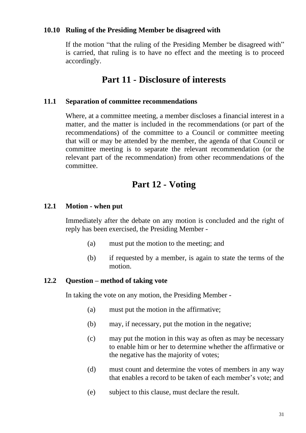#### **10.10 Ruling of the Presiding Member be disagreed with**

If the motion "that the ruling of the Presiding Member be disagreed with" is carried, that ruling is to have no effect and the meeting is to proceed accordingly.

## **Part 11 - Disclosure of interests**

#### **11.1 Separation of committee recommendations**

Where, at a committee meeting, a member discloses a financial interest in a matter, and the matter is included in the recommendations (or part of the recommendations) of the committee to a Council or committee meeting that will or may be attended by the member, the agenda of that Council or committee meeting is to separate the relevant recommendation (or the relevant part of the recommendation) from other recommendations of the committee.

## **Part 12 - Voting**

#### **12.1 Motion - when put**

Immediately after the debate on any motion is concluded and the right of reply has been exercised, the Presiding Member -

- (a) must put the motion to the meeting; and
- (b) if requested by a member, is again to state the terms of the motion.

#### **12.2 Question – method of taking vote**

In taking the vote on any motion, the Presiding Member -

- (a) must put the motion in the affirmative;
- (b) may, if necessary, put the motion in the negative;
- (c) may put the motion in this way as often as may be necessary to enable him or her to determine whether the affirmative or the negative has the majority of votes;
- (d) must count and determine the votes of members in any way that enables a record to be taken of each member's vote; and
- (e) subject to this clause, must declare the result.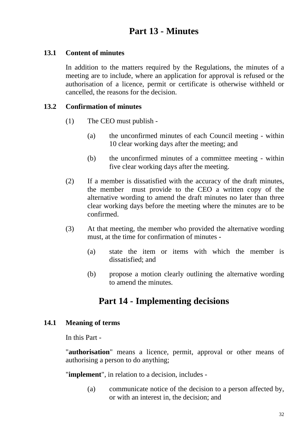# **Part 13 - Minutes**

#### **13.1 Content of minutes**

In addition to the matters required by the Regulations, the minutes of a meeting are to include, where an application for approval is refused or the authorisation of a licence, permit or certificate is otherwise withheld or cancelled, the reasons for the decision.

#### **13.2 Confirmation of minutes**

- (1) The CEO must publish
	- (a) the unconfirmed minutes of each Council meeting within 10 clear working days after the meeting; and
	- (b) the unconfirmed minutes of a committee meeting within five clear working days after the meeting.
- (2) If a member is dissatisfied with the accuracy of the draft minutes, the member must provide to the CEO a written copy of the alternative wording to amend the draft minutes no later than three clear working days before the meeting where the minutes are to be confirmed.
- (3) At that meeting, the member who provided the alternative wording must, at the time for confirmation of minutes -
	- (a) state the item or items with which the member is dissatisfied; and
	- (b) propose a motion clearly outlining the alternative wording to amend the minutes.

# **Part 14 - Implementing decisions**

#### **14.1 Meaning of terms**

In this Part -

"**authorisation**" means a licence, permit, approval or other means of authorising a person to do anything;

"**implement**", in relation to a decision, includes -

(a) communicate notice of the decision to a person affected by, or with an interest in, the decision; and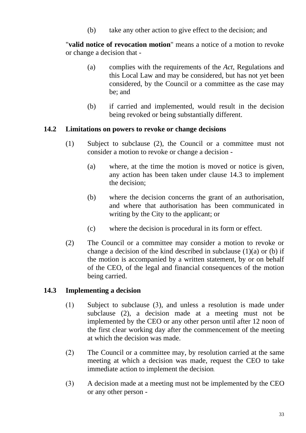(b) take any other action to give effect to the decision; and

"**valid notice of revocation motion**" means a notice of a motion to revoke or change a decision that -

- (a) complies with the requirements of the *Act*, Regulations and this Local Law and may be considered, but has not yet been considered, by the Council or a committee as the case may be; and
- (b) if carried and implemented, would result in the decision being revoked or being substantially different.

#### **14.2 Limitations on powers to revoke or change decisions**

- (1) Subject to subclause (2), the Council or a committee must not consider a motion to revoke or change a decision -
	- (a) where, at the time the motion is moved or notice is given, any action has been taken under clause [14.3](#page-39-0) to implement the decision;
	- (b) where the decision concerns the grant of an authorisation, and where that authorisation has been communicated in writing by the City to the applicant; or
	- (c) where the decision is procedural in its form or effect.
- (2) The Council or a committee may consider a motion to revoke or change a decision of the kind described in subclause (1)(a) or (b) if the motion is accompanied by a written statement, by or on behalf of the CEO, of the legal and financial consequences of the motion being carried.

#### <span id="page-39-0"></span>**14.3 Implementing a decision**

- (1) Subject to subclause [\(](#page-40-0)3), and unless a resolution is made under subclause [\(2\),](#page-39-1) a decision made at a meeting must not be implemented by the CEO or any other person until after 12 noon of the first clear working day after the commencement of the meeting at which the decision was made.
- <span id="page-39-1"></span>(2) The Council or a committee may, by resolution carried at the same meeting at which a decision was made, request the CEO to take immediate action to implement the decision.
- (3) A decision made at a meeting must not be implemented by the CEO or any other person -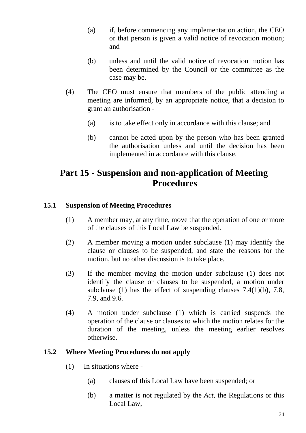- (a) if, before commencing any implementation action, the CEO or that person is given a valid notice of revocation motion; and
- (b) unless and until the valid notice of revocation motion has been determined by the Council or the committee as the case may be.
- <span id="page-40-0"></span>(4) The CEO must ensure that members of the public attending a meeting are informed, by an appropriate notice, that a decision to grant an authorisation -
	- (a) is to take effect only in accordance with this clause; and
	- (b) cannot be acted upon by the person who has been granted the authorisation unless and until the decision has been implemented in accordance with this clause.

# **Part 15 - Suspension and non-application of Meeting Procedures**

#### **15.1 Suspension of Meeting Procedures**

- (1) A member may, at any time, move that the operation of one or more of the clauses of this Local Law be suspended.
- (2) A member moving a motion under subclause (1) may identify the clause or clauses to be suspended, and state the reasons for the motion, but no other discussion is to take place.
- (3) If the member moving the motion under subclause (1) does not identify the clause or clauses to be suspended, a motion under subclause (1) has the effect of suspending clauses 7.4(1)(b), 7.8, 7.9, and 9.6.
- (4) A motion under subclause (1) which is carried suspends the operation of the clause or clauses to which the motion relates for the duration of the meeting, unless the meeting earlier resolves otherwise.

#### **15.2 Where Meeting Procedures do not apply**

- (1) In situations where
	- (a) clauses of this Local Law have been suspended; or
	- (b) a matter is not regulated by the *Act*, the Regulations or this Local Law,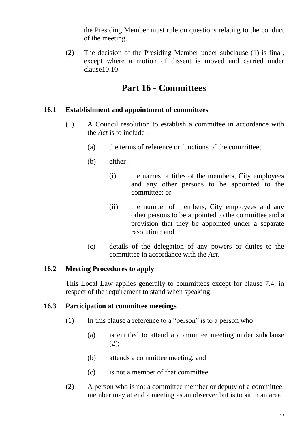the Presiding Member must rule on questions relating to the conduct of the meeting.

(2) The decision of the Presiding Member under subclause (1) is final, except where a motion of dissent is moved and carried under clause10.10.

## **Part 16 - Committees**

#### **16.1 Establishment and appointment of committees**

- (1) A Council resolution to establish a committee in accordance with the *Act* is to include -
	- (a) the terms of reference or functions of the committee;
	- (b) either
		- (i) the names or titles of the members, City employees and any other persons to be appointed to the committee; or
		- (ii) the number of members, City employees and any other persons to be appointed to the committee and a provision that they be appointed under a separate resolution; and
	- (c) details of the delegation of any powers or duties to the committee in accordance with the *Act*.

#### **16.2 Meeting Procedures to apply**

This Local Law applies generally to committees except for clause [7.4,](#page-25-0) in respect of the requirement to stand when speaking.

#### **16.3 Participation at committee meetings**

- (1) In this clause a reference to a "person" is to a person who
	- (a) is entitled to attend a committee meeting under subclause  $(2)$ ;
	- (b) attends a committee meeting; and
	- (c) is not a member of that committee.
- (2) A person who is not a committee member or deputy of a committee member may attend a meeting as an observer but is to sit in an area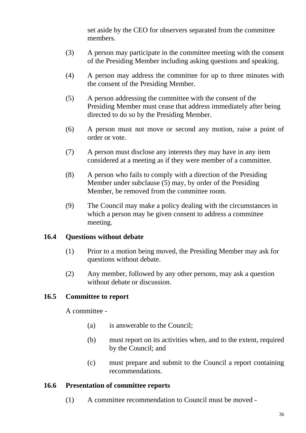set aside by the CEO for observers separated from the committee members.

- (3) A person may participate in the committee meeting with the consent of the Presiding Member including asking questions and speaking.
- (4) A person may address the committee for up to three minutes with the consent of the Presiding Member.
- (5) A person addressing the committee with the consent of the Presiding Member must cease that address immediately after being directed to do so by the Presiding Member.
- (6) A person must not move or second any motion, raise a point of order or vote.
- (7) A person must disclose any interests they may have in any item considered at a meeting as if they were member of a committee.
- (8) A person who fails to comply with a direction of the Presiding Member under subclause (5) may, by order of the Presiding Member, be removed from the committee room.
- (9) The Council may make a policy dealing with the circumstances in which a person may be given consent to address a committee meeting.

#### **16.4 Questions without debate**

- (1) Prior to a motion being moved, the Presiding Member may ask for questions without debate.
- (2) Any member, followed by any other persons, may ask a question without debate or discussion.

## **16.5 Committee to report**

A committee -

- (a) is answerable to the Council;
- (b) must report on its activities when, and to the extent, required by the Council; and
- (c) must prepare and submit to the Council a report containing recommendations.

#### **16.6 Presentation of committee reports**

(1) A committee recommendation to Council must be moved -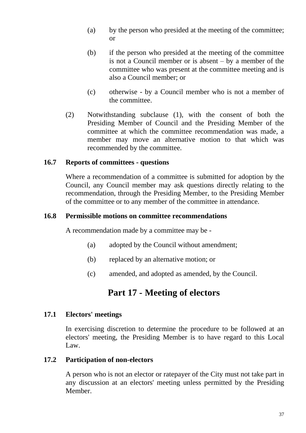- (a) by the person who presided at the meeting of the committee; or
- (b) if the person who presided at the meeting of the committee is not a Council member or is absent – by a member of the committee who was present at the committee meeting and is also a Council member; or
- (c) otherwise by a Council member who is not a member of the committee.
- (2) Notwithstanding subclause (1), with the consent of both the Presiding Member of Council and the Presiding Member of the committee at which the committee recommendation was made, a member may move an alternative motion to that which was recommended by the committee.

#### **16.7 Reports of committees - questions**

Where a recommendation of a committee is submitted for adoption by the Council, any Council member may ask questions directly relating to the recommendation, through the Presiding Member, to the Presiding Member of the committee or to any member of the committee in attendance.

#### **16.8 Permissible motions on committee recommendations**

A recommendation made by a committee may be -

- (a) adopted by the Council without amendment;
- (b) replaced by an alternative motion; or
- (c) amended, and adopted as amended, by the Council.

## **Part 17 - Meeting of electors**

#### **17.1 Electors' meetings**

In exercising discretion to determine the procedure to be followed at an electors' meeting, the Presiding Member is to have regard to this Local Law.

#### **17.2 Participation of non-electors**

A person who is not an elector or ratepayer of the City must not take part in any discussion at an electors' meeting unless permitted by the Presiding Member.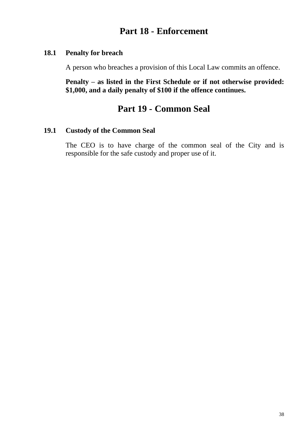## **Part 18 - Enforcement**

#### **18.1 Penalty for breach**

A person who breaches a provision of this Local Law commits an offence.

**Penalty – as listed in the First Schedule or if not otherwise provided: \$1,000, and a daily penalty of \$100 if the offence continues.**

## **Part 19 - Common Seal**

#### **19.1 Custody of the Common Seal**

The CEO is to have charge of the common seal of the City and is responsible for the safe custody and proper use of it.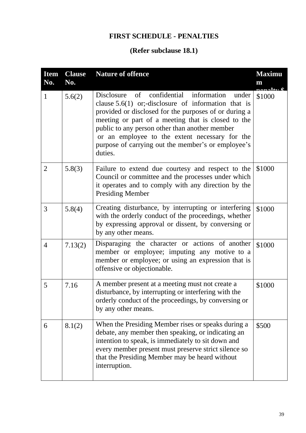## **FIRST SCHEDULE - PENALTIES**

# **(Refer subclause 18.1)**

| <b>Item</b><br>No. | <b>Clause</b><br>No. | <b>Nature of offence</b>                                                                                                                                                                                                                                                                                                                                                                     | <b>Maximu</b><br>m<br>$\sim$ naltr $\Phi$ |
|--------------------|----------------------|----------------------------------------------------------------------------------------------------------------------------------------------------------------------------------------------------------------------------------------------------------------------------------------------------------------------------------------------------------------------------------------------|-------------------------------------------|
| $\mathbf{1}$       | 5.6(2)               | Disclosure of confidential information<br>under<br>clause $5.6(1)$ or;-disclosure of information that is<br>provided or disclosed for the purposes of or during a<br>meeting or part of a meeting that is closed to the<br>public to any person other than another member<br>or an employee to the extent necessary for the<br>purpose of carrying out the member's or employee's<br>duties. | \$1000                                    |
| $\overline{2}$     | 5.8(3)               | Failure to extend due courtesy and respect to the<br>Council or committee and the processes under which<br>it operates and to comply with any direction by the<br><b>Presiding Member</b>                                                                                                                                                                                                    | \$1000                                    |
| 3                  | 5.8(4)               | Creating disturbance, by interrupting or interfering<br>with the orderly conduct of the proceedings, whether<br>by expressing approval or dissent, by conversing or<br>by any other means.                                                                                                                                                                                                   | \$1000                                    |
| $\overline{4}$     | 7.13(2)              | Disparaging the character or actions of another<br>member or employee; imputing any motive to a<br>member or employee; or using an expression that is<br>offensive or objectionable.                                                                                                                                                                                                         | \$1000                                    |
| 5                  | 7.16                 | A member present at a meeting must not create a<br>disturbance, by interrupting or interfering with the<br>orderly conduct of the proceedings, by conversing or<br>by any other means.                                                                                                                                                                                                       | \$1000                                    |
| 6                  | 8.1(2)               | When the Presiding Member rises or speaks during a<br>debate, any member then speaking, or indicating an<br>intention to speak, is immediately to sit down and<br>every member present must preserve strict silence so<br>that the Presiding Member may be heard without<br>interruption.                                                                                                    | \$500                                     |